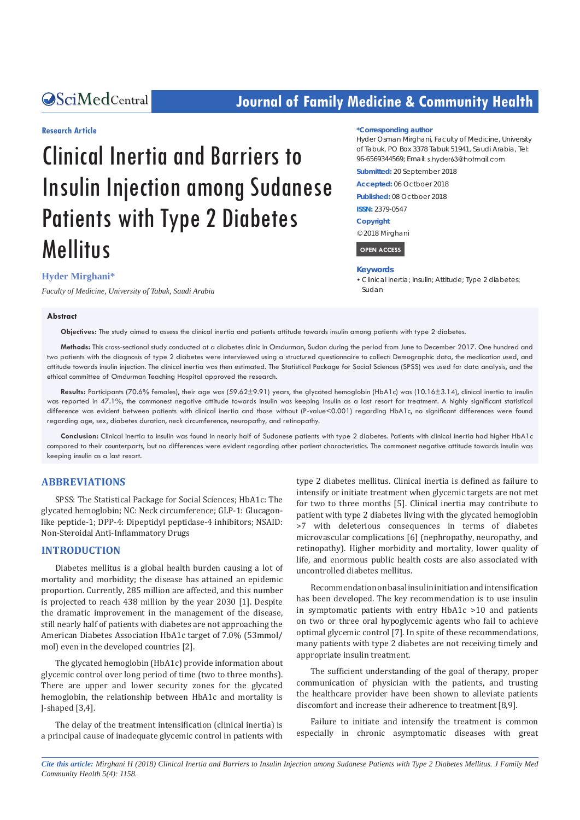## **CALCERT CONFIDENTIAL CONTROLLER COMMUNITY Health**

#### **Research Article**

# Clinical Inertia and Barriers to Insulin Injection among Sudanese Patients with Type 2 Diabetes Mellitus

#### **Hyder Mirghani\***

*Faculty of Medicine, University of Tabuk, Saudi Arabia*

#### **Abstract**

**Objectives:** The study aimed to assess the clinical inertia and patients attitude towards insulin among patients with type 2 diabetes.

**Methods:** This cross-sectional study conducted at a diabetes clinic in Omdurman, Sudan during the period from June to December 2017. One hundred and two patients with the diagnosis of type 2 diabetes were interviewed using a structured questionnaire to collect: Demographic data, the medication used, and attitude towards insulin injection. The clinical inertia was then estimated. The Statistical Package for Social Sciences (SPSS) was used for data analysis, and the ethical committee of Omdurman Teaching Hospital approved the research.

**Results:** Participants (70.6% females), their age was (59.62±9.91) years, the glycated hemoglobin (HbA1c) was (10.16±3.14), clinical inertia to insulin was reported in 47.1%, the commonest negative attitude towards insulin was keeping insulin as a last resort for treatment. A highly significant statistical difference was evident between patients with clinical inertia and those without (P-value<0.001) regarding HbA1c, no significant differences were found regarding age, sex, diabetes duration, neck circumference, neuropathy, and retinopathy.

**Conclusion:** Clinical inertia to insulin was found in nearly half of Sudanese patients with type 2 diabetes. Patients with clinical inertia had higher HbA1c compared to their counterparts, but no differences were evident regarding other patient characteristics. The commonest negative attitude towards insulin was keeping insulin as a last resort.

#### **ABBREVIATIONS**

SPSS: The Statistical Package for Social Sciences; HbA1c: The glycated hemoglobin; NC: Neck circumference; GLP-1: Glucagonlike peptide-1; DPP-4: Dipeptidyl peptidase-4 inhibitors; NSAID: Non-Steroidal Anti-Inflammatory Drugs

#### **INTRODUCTION**

Diabetes mellitus is a global health burden causing a lot of mortality and morbidity; the disease has attained an epidemic proportion. Currently, 285 million are affected, and this number is projected to reach 438 million by the year 2030 [1]. Despite the dramatic improvement in the management of the disease, still nearly half of patients with diabetes are not approaching the American Diabetes Association HbA1c target of 7.0% (53mmol/ mol) even in the developed countries [2].

The glycated hemoglobin (HbA1c) provide information about glycemic control over long period of time (two to three months). There are upper and lower security zones for the glycated hemoglobin, the relationship between HbA1c and mortality is J-shaped [3,4].

The delay of the treatment intensification (clinical inertia) is a principal cause of inadequate glycemic control in patients with

type 2 diabetes mellitus. Clinical inertia is defined as failure to intensify or initiate treatment when glycemic targets are not met for two to three months [5]. Clinical inertia may contribute to patient with type 2 diabetes living with the glycated hemoglobin >7 with deleterious consequences in terms of diabetes microvascular complications [6] (nephropathy, neuropathy, and retinopathy). Higher morbidity and mortality, lower quality of life, and enormous public health costs are also associated with uncontrolled diabetes mellitus.

Recommendation on basal insulin initiation and intensification has been developed. The key recommendation is to use insulin in symptomatic patients with entry HbA1c >10 and patients on two or three oral hypoglycemic agents who fail to achieve optimal glycemic control [7]. In spite of these recommendations, many patients with type 2 diabetes are not receiving timely and appropriate insulin treatment.

The sufficient understanding of the goal of therapy, proper communication of physician with the patients, and trusting the healthcare provider have been shown to alleviate patients discomfort and increase their adherence to treatment[8,9].

Failure to initiate and intensify the treatment is common especially in chronic asymptomatic diseases with great

*Cite this article: Mirghani H (2018) Clinical Inertia and Barriers to Insulin Injection among Sudanese Patients with Type 2 Diabetes Mellitus. J Family Med Community Health 5(4): 1158.*

#### **\*Corresponding author**

Hyder Osman Mirghani, Faculty of Medicine, University of Tabuk, PO Box 3378 Tabuk 51941, Saudi Arabia, Tel: 96-6569344569; Email: s.hyder63@hotmail.com

**Submitted:** 20 September 2018

**Accepted:** 06 Octboer 2018

**Published:** 08 Octboer 2018

#### **ISSN:** 2379-0547

**Copyright**

© 2018 Mirghani

 **OPEN ACCESS** 

#### **Keywords**

• Clinical inertia; Insulin; Attitude; Type 2 diabetes; Sudan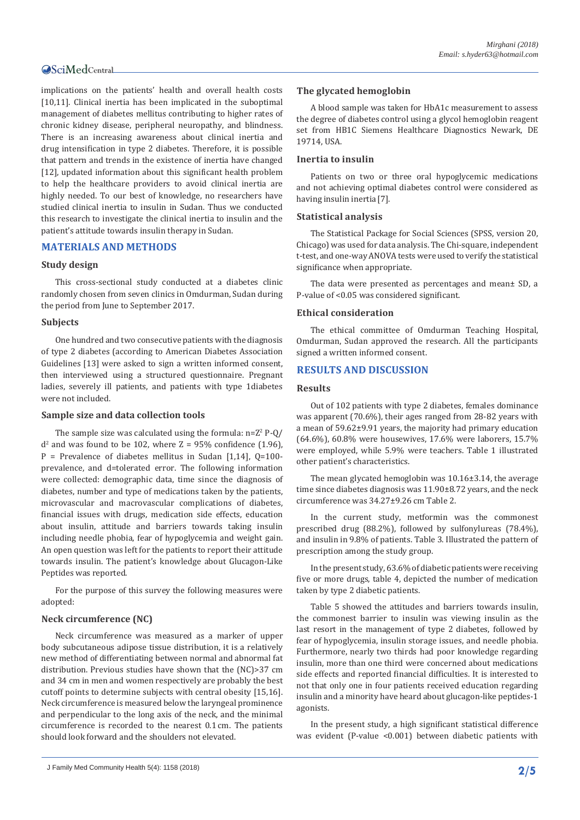implications on the patients' health and overall health costs [10,11]. Clinical inertia has been implicated in the suboptimal management of diabetes mellitus contributing to higher rates of chronic kidney disease, peripheral neuropathy, and blindness. There is an increasing awareness about clinical inertia and drug intensification in type 2 diabetes. Therefore, it is possible that pattern and trends in the existence of inertia have changed [12], updated information about this significant health problem to help the healthcare providers to avoid clinical inertia are highly needed. To our best of knowledge, no researchers have studied clinical inertia to insulin in Sudan. Thus we conducted this research to investigate the clinical inertia to insulin and the patient's attitude towards insulin therapy in Sudan.

#### **MATERIALS AND METHODS**

#### **Study design**

This cross-sectional study conducted at a diabetes clinic randomly chosen from seven clinics in Omdurman, Sudan during the period from June to September 2017.

#### **Subjects**

One hundred and two consecutive patients with the diagnosis of type 2 diabetes (according to American Diabetes Association Guidelines [13] were asked to sign a written informed consent, then interviewed using a structured questionnaire. Pregnant ladies, severely ill patients, and patients with type 1diabetes were not included.

#### **Sample size and data collection tools**

The sample size was calculated using the formula:  $n=Z^2 P-Q$  $d^2$  and was found to be 102, where  $Z = 95\%$  confidence (1.96),  $P = Prevalence$  of diabetes mellitus in Sudan [1,14], 0=100prevalence, and d=tolerated error. The following information were collected: demographic data, time since the diagnosis of diabetes, number and type of medications taken by the patients, microvascular and macrovascular complications of diabetes, financial issues with drugs, medication side effects, education about insulin, attitude and barriers towards taking insulin including needle phobia, fear of hypoglycemia and weight gain. An open question was left for the patients to report their attitude towards insulin. The patient's knowledge about Glucagon-Like Peptides was reported.

For the purpose of this survey the following measures were adopted:

#### **Neck circumference (NC)**

Neck circumference was measured as a marker of upper body subcutaneous adipose tissue distribution, it is a relatively new method of differentiating between normal and abnormal fat distribution. Previous studies have shown that the (NC)>37 cm and 34 cm in men and women respectively are probably the best cutoff points to determine subjects with central obesity [15,16]. Neck circumference is measured below the laryngeal prominence and perpendicular to the long axis of the neck, and the minimal circumference is recorded to the nearest 0.1 cm. The patients should look forward and the shoulders not elevated.

#### **The glycated hemoglobin**

A blood sample was taken for HbA1c measurement to assess the degree of diabetes control using a glycol hemoglobin reagent set from HB1C Siemens Healthcare Diagnostics Newark, DE 19714, USA.

#### **Inertia to insulin**

Patients on two or three oral hypoglycemic medications and not achieving optimal diabetes control were considered as having insulin inertia [7].

#### **Statistical analysis**

The Statistical Package for Social Sciences (SPSS, version 20, Chicago) was used for data analysis. The Chi-square, independent t-test, and one-way ANOVA tests were used to verify the statistical significance when appropriate.

The data were presented as percentages and mean± SD, a P-value of <0.05 was considered significant.

#### **Ethical consideration**

The ethical committee of Omdurman Teaching Hospital, Omdurman, Sudan approved the research. All the participants signed a written informed consent.

#### **RESULTS AND DISCUSSION**

#### **Results**

Out of 102 patients with type 2 diabetes, females dominance was apparent (70.6%), their ages ranged from 28-82 years with a mean of 59.62±9.91 years, the majority had primary education (64.6%), 60.8% were housewives, 17.6% were laborers, 15.7% were employed, while 5.9% were teachers. Table 1 illustrated other patient's characteristics.

The mean glycated hemoglobin was 10.16±3.14, the average time since diabetes diagnosis was 11.90±8.72 years, and the neck circumference was 34.27±9.26 cm Table 2.

In the current study, metformin was the commonest prescribed drug (88.2%), followed by sulfonylureas (78.4%), and insulin in 9.8% of patients. Table 3. Illustrated the pattern of prescription among the study group.

In the present study, 63.6% of diabetic patients were receiving five or more drugs, table 4, depicted the number of medication taken by type 2 diabetic patients.

Table 5 showed the attitudes and barriers towards insulin, the commonest barrier to insulin was viewing insulin as the last resort in the management of type 2 diabetes, followed by fear of hypoglycemia, insulin storage issues, and needle phobia. Furthermore, nearly two thirds had poor knowledge regarding insulin, more than one third were concerned about medications side effects and reported financial difficulties. It is interested to not that only one in four patients received education regarding insulin and a minority have heard about glucagon-like peptides-1 agonists.

In the present study, a high significant statistical difference was evident (P-value <0.001) between diabetic patients with

J Family Med Community Health 5(4): 1158 (2018) **2/5**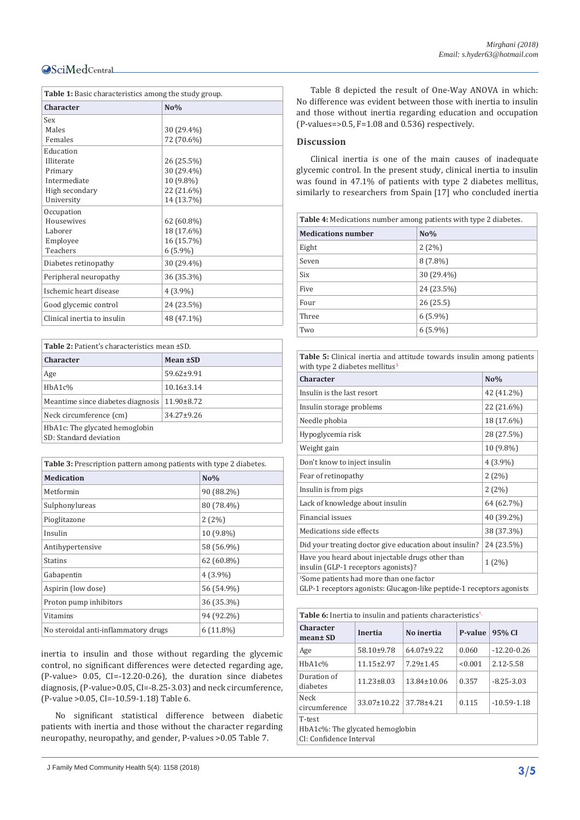| <b>Table 1:</b> Basic characteristics among the study group. |              |  |
|--------------------------------------------------------------|--------------|--|
| <b>Character</b>                                             | $N0$ %       |  |
| Sex                                                          |              |  |
| Males                                                        | 30 (29.4%)   |  |
| Females                                                      | 72 (70.6%)   |  |
| Education                                                    |              |  |
| Illiterate                                                   | 26 (25.5%)   |  |
| Primary                                                      | 30 (29.4%)   |  |
| Intermediate                                                 | 10 (9.8%)    |  |
| High secondary                                               | 22 (21.6%)   |  |
| University                                                   | 14 (13.7%)   |  |
| Occupation                                                   |              |  |
| Housewives                                                   | $62(60.8\%)$ |  |
| Laborer                                                      | 18 (17.6%)   |  |
| Employee                                                     | 16 (15.7%)   |  |
| Teachers                                                     | $6(5.9\%)$   |  |
| Diabetes retinopathy                                         | 30 (29.4%)   |  |
| Peripheral neuropathy                                        | 36 (35.3%)   |  |
| Ischemic heart disease                                       | $4(3.9\%)$   |  |
| Good glycemic control                                        | 24 (23.5%)   |  |
| Clinical inertia to insulin                                  | 48 (47.1%)   |  |

| <b>Table 2:</b> Patient's characteristics mean ±SD.      |                  |  |
|----------------------------------------------------------|------------------|--|
| <b>Character</b>                                         | Mean ±SD         |  |
| Age                                                      | $59.62 \pm 9.91$ |  |
| HbA1c%                                                   | $10.16 \pm 3.14$ |  |
| Meantime since diabetes diagnosis                        | $11.90 \pm 8.72$ |  |
| Neck circumference (cm)                                  | $34.27 \pm 9.26$ |  |
| HbA1c: The glycated hemoglobin<br>SD: Standard deviation |                  |  |

| <b>Table 3:</b> Prescription pattern among patients with type 2 diabetes. |                  |  |
|---------------------------------------------------------------------------|------------------|--|
| <b>Medication</b>                                                         | N <sub>0</sub> % |  |
| Metformin                                                                 | 90 (88.2%)       |  |
| Sulphonylureas                                                            | 80 (78.4%)       |  |
| Pioglitazone                                                              | $2(2\%)$         |  |
| Insulin                                                                   | 10 (9.8%)        |  |
| Antihypertensive                                                          | 58 (56.9%)       |  |
| <b>Statins</b>                                                            | $62(60.8\%)$     |  |
| Gabapentin                                                                | $4(3.9\%)$       |  |
| Aspirin (low dose)                                                        | 56 (54.9%)       |  |
| Proton pump inhibitors                                                    | 36 (35.3%)       |  |
| Vitamins                                                                  | 94 (92.2%)       |  |
| No steroidal anti-inflammatory drugs                                      | $6(11.8\%)$      |  |

inertia to insulin and those without regarding the glycemic control, no significant differences were detected regarding age, (P-value> 0.05, CI=-12.20-0.26), the duration since diabetes diagnosis, (P-value>0.05, CI=-8.25-3.03) and neck circumference, (P-value >0.05, CI=-10.59-1.18) Table 6.

No significant statistical difference between diabetic patients with inertia and those without the character regarding neuropathy, neuropathy, and gender, P-values >0.05 Table 7.

J Family Med Community Health 5(4): 1158 (2018) **3/5**

Table 8 depicted the result of One-Way ANOVA in which: No difference was evident between those with inertia to insulin and those without inertia regarding education and occupation (P-values=>0.5, F=1.08 and 0.536) respectively.

#### **Discussion**

Clinical inertia is one of the main causes of inadequate glycemic control. In the present study, clinical inertia to insulin was found in 47.1% of patients with type 2 diabetes mellitus, similarly to researchers from Spain [17] who concluded inertia

| <b>Table 4:</b> Medications number among patients with type 2 diabetes. |            |  |
|-------------------------------------------------------------------------|------------|--|
| <b>Medications number</b>                                               | $No\%$     |  |
| Eight                                                                   | 2(2%)      |  |
| Seven                                                                   | $8(7.8\%)$ |  |
| Six                                                                     | 30 (29.4%) |  |
| Five                                                                    | 24 (23.5%) |  |
| Four                                                                    | 26(25.5)   |  |
| Three                                                                   | $6(5.9\%)$ |  |
| Two                                                                     | $6(5.9\%)$ |  |

**Table 5:** Clinical inertia and attitude towards insulin among patients with type 2 diabetes mellitus<sup>1</sup>

| <b>Character</b>                                                                                                            | $N0$ %     |  |
|-----------------------------------------------------------------------------------------------------------------------------|------------|--|
| Insulin is the last resort                                                                                                  | 42 (41.2%) |  |
| Insulin storage problems                                                                                                    | 22 (21.6%) |  |
| Needle phobia                                                                                                               | 18 (17.6%) |  |
| Hypoglycemia risk                                                                                                           | 28 (27.5%) |  |
| Weight gain                                                                                                                 | 10 (9.8%)  |  |
| Don't know to inject insulin                                                                                                | $4(3.9\%)$ |  |
| Fear of retinopathy                                                                                                         | 2(2%)      |  |
| Insulin is from pigs                                                                                                        | 2(2%)      |  |
| Lack of knowledge about insulin                                                                                             | 64 (62.7%) |  |
| Financial issues                                                                                                            | 40 (39.2%) |  |
| Medications side effects                                                                                                    | 38 (37.3%) |  |
| Did your treating doctor give education about insulin?                                                                      | 24 (23.5%) |  |
| Have you heard about injectable drugs other than<br>insulin (GLP-1 receptors agonists)?                                     | $1(2\%)$   |  |
| <sup>1</sup> Some patients had more than one factor<br>GLP-1 receptors agonists: Glucagon-like peptide-1 receptors agonists |            |  |

| <b>Table 6:</b> Inertia to insulin and patients characteristics <sup>*</sup> |                   |                   |         |                 |
|------------------------------------------------------------------------------|-------------------|-------------------|---------|-----------------|
| <b>Character</b><br>mean± SD                                                 | Inertia           | No inertia        | P-value | 95% CI          |
| Age                                                                          | $58.10+9.78$      | $64.07+9.22$      | 0.060   | $-12.20 - 0.26$ |
| HbA1c%                                                                       | $11.15 \pm 2.97$  | $7.29 \pm 1.45$   | < 0.001 | 2.12-5.58       |
| Duration of<br>diabetes                                                      | $11.23 \pm 8.03$  | $13.84 \pm 10.06$ | 0.357   | $-8.25 - 3.03$  |
| Neck<br>circumference                                                        | $33.07 \pm 10.22$ | 37.78±4.21        | 0.115   | $-10.59 - 1.18$ |
| T-test<br>HbA1c%: The glycated hemoglobin                                    |                   |                   |         |                 |

CI: Confidence Interval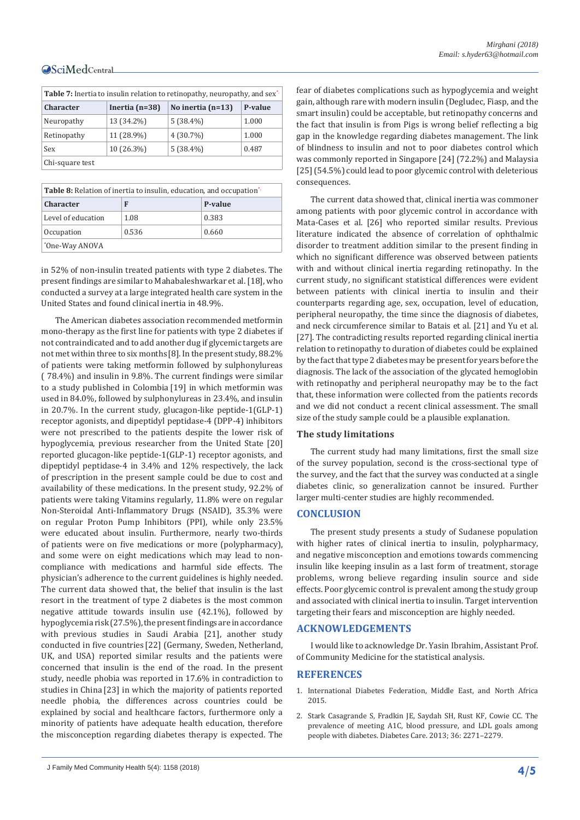| <b>Table 7:</b> Inertia to insulin relation to retinopathy, neuropathy, and sex <sup>*</sup> |            |                     |         |
|----------------------------------------------------------------------------------------------|------------|---------------------|---------|
| Inertia $(n=38)$<br><b>Character</b>                                                         |            | No inertia $(n=13)$ | P-value |
| Neuropathy                                                                                   | 13 (34.2%) | $5(38.4\%)$         | 1.000   |
| Retinopathy                                                                                  | 11 (28.9%) | $4(30.7\%)$         | 1.000   |
| Sex                                                                                          | 10 (26.3%) | $5(38.4\%)$         | 0.487   |
| Chi-square test                                                                              |            |                     |         |

| <b>Table 7:</b> Inertia to insulin relation to retinopathy, neuropathy, and sex <sup>*</sup> |  |                                    |           |
|----------------------------------------------------------------------------------------------|--|------------------------------------|-----------|
| <b>Character</b>                                                                             |  | Inertia (n=38)   No inertia (n=13) | $P-value$ |
|                                                                                              |  |                                    |           |

Table 8: Relation of inertia to insulin, education, and occupation<sup>'</sup> **Character F P-value** Level of education 1.08 0.383 Occupation 0.536 0.660 \* One-Way ANOVA

in 52% of non-insulin treated patients with type 2 diabetes. The present findings are similar to Mahabaleshwarkar et al. [18], who conducted a survey at a large integrated health care system in the United States and found clinical inertia in 48.9%.

The American diabetes association recommended metformin mono-therapy as the first line for patients with type 2 diabetes if not contraindicated and to add another dug if glycemic targets are not met within three to six months[8]. In the present study, 88.2% of patients were taking metformin followed by sulphonylureas ( 78.4%) and insulin in 9.8%. The current findings were similar to a study published in Colombia [19] in which metformin was used in 84.0%, followed by sulphonylureas in 23.4%, and insulin in 20.7%. In the current study, glucagon-like peptide-1(GLP-1) receptor agonists, and dipeptidyl peptidase-4 (DPP-4) inhibitors were not prescribed to the patients despite the lower risk of hypoglycemia, previous researcher from the United State [20] reported glucagon-like peptide-1(GLP-1) receptor agonists, and dipeptidyl peptidase-4 in 3.4% and 12% respectively, the lack of prescription in the present sample could be due to cost and availability of these medications. In the present study, 92.2% of patients were taking Vitamins regularly, 11.8% were on regular Non-Steroidal Anti-Inflammatory Drugs (NSAID), 35.3% were on regular Proton Pump Inhibitors (PPI), while only 23.5% were educated about insulin. Furthermore, nearly two-thirds of patients were on five medications or more (polypharmacy), and some were on eight medications which may lead to noncompliance with medications and harmful side effects. The physician's adherence to the current guidelines is highly needed. The current data showed that, the belief that insulin is the last resort in the treatment of type 2 diabetes is the most common negative attitude towards insulin use (42.1%), followed by hypoglycemia risk (27.5%), the present findings are in accordance with previous studies in Saudi Arabia [21], another study conducted in five countries [22] (Germany, Sweden, Netherland, UK, and USA) reported similar results and the patients were concerned that insulin is the end of the road. In the present study, needle phobia was reported in 17.6% in contradiction to studies in China [23] in which the majority of patients reported needle phobia, the differences across countries could be explained by social and healthcare factors, furthermore only a minority of patients have adequate health education, therefore the misconception regarding diabetes therapy is expected. The fear of diabetes complications such as hypoglycemia and weight gain, although rare with modern insulin (Degludec, Fiasp, and the smart insulin) could be acceptable, but retinopathy concerns and the fact that insulin is from Pigs is wrong belief reflecting a big gap in the knowledge regarding diabetes management. The link of blindness to insulin and not to poor diabetes control which was commonly reported in Singapore [24] (72.2%) and Malaysia [25] (54.5%) could lead to poor glycemic control with deleterious consequences.

The current data showed that, clinical inertia was commoner among patients with poor glycemic control in accordance with Mata-Cases et al. [26] who reported similar results. Previous literature indicated the absence of correlation of ophthalmic disorder to treatment addition similar to the present finding in which no significant difference was observed between patients with and without clinical inertia regarding retinopathy. In the current study, no significant statistical differences were evident between patients with clinical inertia to insulin and their counterparts regarding age, sex, occupation, level of education, peripheral neuropathy, the time since the diagnosis of diabetes, and neck circumference similar to Batais et al. [21] and Yu et al. [27]. The contradicting results reported regarding clinical inertia relation to retinopathy to duration of diabetes could be explained by the fact that type 2 diabetes may be present for years before the diagnosis. The lack of the association of the glycated hemoglobin with retinopathy and peripheral neuropathy may be to the fact that, these information were collected from the patients records and we did not conduct a recent clinical assessment. The small size of the study sample could be a plausible explanation.

#### **The study limitations**

The current study had many limitations, first the small size of the survey population, second is the cross-sectional type of the survey, and the fact that the survey was conducted at a single diabetes clinic, so generalization cannot be insured. Further larger multi-center studies are highly recommended.

#### **CONCLUSION**

The present study presents a study of Sudanese population with higher rates of clinical inertia to insulin, polypharmacy, and negative misconception and emotions towards commencing insulin like keeping insulin as a last form of treatment, storage problems, wrong believe regarding insulin source and side effects. Poor glycemic control is prevalent among the study group and associated with clinical inertia to insulin. Target intervention targeting their fears and misconception are highly needed.

#### **ACKNOWLEDGEMENTS**

I would like to acknowledge Dr. Yasin Ibrahim, Assistant Prof. of Community Medicine for the statistical analysis.

#### **REFERENCES**

- 1. International Diabetes Federation, Middle East, and North Africa 2015.
- 2. [Stark Casagrande S, Fradkin JE, Saydah SH, Rust KF, Cowie CC. The](https://www.ncbi.nlm.nih.gov/pubmed/23418368)  [prevalence of meeting A1C, blood pressure, and LDL goals among](https://www.ncbi.nlm.nih.gov/pubmed/23418368)  [people with diabetes. Diabetes Care. 2013; 36: 2271–2279.](https://www.ncbi.nlm.nih.gov/pubmed/23418368)